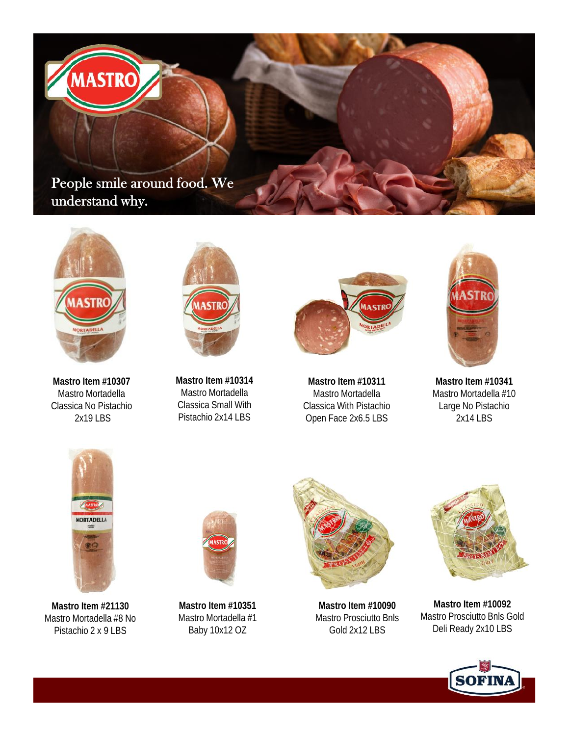**People smile around food. We understand why.**



**MASTRC** 

**Mastro Item #10307** Mastro Mortadella Classica No Pistachio 2x19 LBS



**Mastro Item #10314** Mastro Mortadella Classica Small With Pistachio 2x14 LBS



**Mastro Item #10311** Mastro Mortadella Classica With Pistachio Open Face 2x6.5 LBS



**Mastro Item #10341** Mastro Mortadella #10 Large No Pistachio 2x14 LBS



**Mastro Item #21130** Mastro Mortadella #8 No Pistachio 2 x 9 LBS



**Mastro Item #10351** Mastro Mortadella #1 Baby 10x12 OZ



**Mastro Item #10090** Mastro Prosciutto Bnls Gold 2x12 LBS



**Mastro Item #10092** Mastro Prosciutto Bnls Gold Deli Ready 2x10 LBS

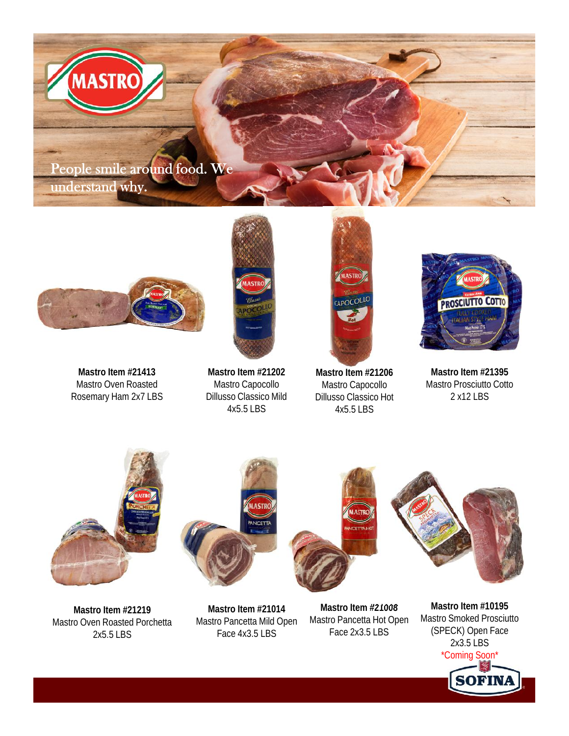

**MASTRC** 



**Mastro Item #21413** Mastro Oven Roasted Rosemary Ham 2x7 LBS



**Mastro Item #21202** Mastro Capocollo Dillusso Classico Mild 4x5.5 LBS



**Mastro Item #21206** Mastro Capocollo Dillusso Classico Hot 4x5.5 LBS



**Mastro Item #21395** Mastro Prosciutto Cotto 2 x12 LBS



**Mastro Item #21219** Mastro Oven Roasted Porchetta 2x5.5 LBS

**Mastro Item #21014** Mastro Pancetta Mild Open Face 4x3.5 LBS

**Mastro Item #21008** Mastro Pancetta Hot Open Face 2x3.5 LBS

**Mastro Item #10195** Mastro Smoked Prosciutto (SPECK) Open Face 2x3.5 LBS \*Coming Soon\***SOFIN**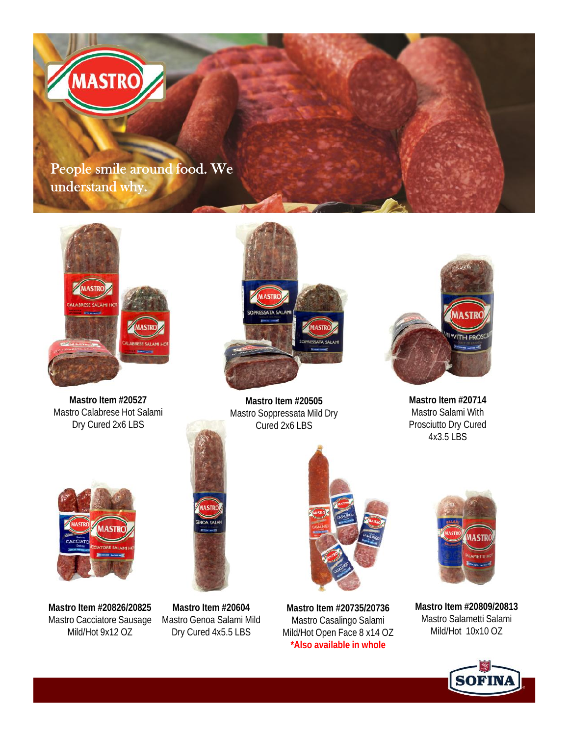



**Mastro Item #20527** Mastro Calabrese Hot Salami Dry Cured 2x6 LBS



**Mastro Item #20505** Mastro Soppressata Mild Dry Cured 2x6 LBS



**Mastro Item #20714** Mastro Salami With Prosciutto Dry Cured 4x3.5 LBS



**Mastro Item #20826/20825** Mastro Cacciatore Sausage Mild/Hot 9x12 OZ



**Mastro Item #20604** Mastro Genoa Salami Mild Dry Cured 4x5.5 LBS



**Mastro Item #20735/20736** Mastro Casalingo Salami Mild/Hot Open Face 8 x14 OZ **\*Also available in whole**



**Mastro Item #20809/20813** Mastro Salametti Salami Mild/Hot 10x10 OZ